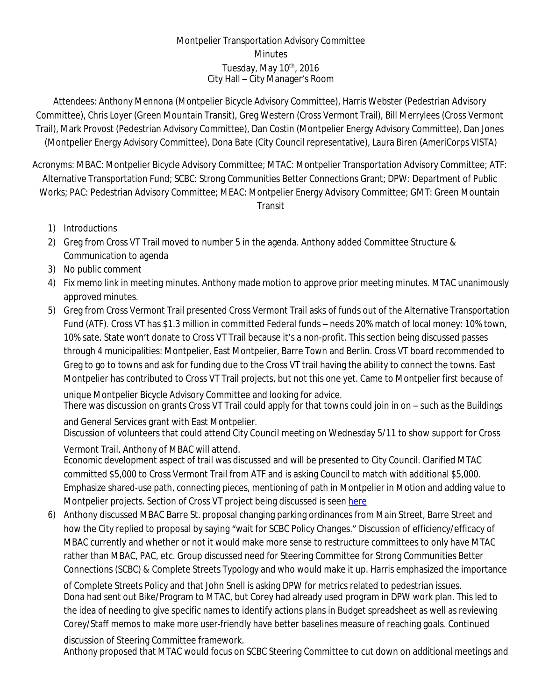## Montpelier Transportation Advisory Committee **Minutes** Tuesday, May 10<sup>th</sup>, 2016 City Hall – City Manager's Room

Attendees: Anthony Mennona (Montpelier Bicycle Advisory Committee), Harris Webster (Pedestrian Advisory Committee), Chris Loyer (Green Mountain Transit), Greg Western (Cross Vermont Trail), Bill Merrylees (Cross Vermont Trail), Mark Provost (Pedestrian Advisory Committee), Dan Costin (Montpelier Energy Advisory Committee), Dan Jones (Montpelier Energy Advisory Committee), Dona Bate (City Council representative), Laura Biren (AmeriCorps VISTA)

Acronyms: MBAC: Montpelier Bicycle Advisory Committee; MTAC: Montpelier Transportation Advisory Committee; ATF: Alternative Transportation Fund; SCBC: Strong Communities Better Connections Grant; DPW: Department of Public Works; PAC: Pedestrian Advisory Committee; MEAC: Montpelier Energy Advisory Committee; GMT: Green Mountain Transit

- 1) Introductions
- 2) Greg from Cross VT Trail moved to number 5 in the agenda. Anthony added Committee Structure & Communication to agenda
- 3) No public comment
- 4) Fix memo link in meeting minutes. Anthony made motion to approve prior meeting minutes. MTAC unanimously approved minutes.
- 5) Greg from Cross Vermont Trail presented Cross Vermont Trail asks of funds out of the Alternative Transportation Fund (ATF). Cross VT has \$1.3 million in committed Federal funds – needs 20% match of local money: 10% town, 10% sate. State won't donate to Cross VT Trail because it's a non-profit. This section being discussed passes through 4 municipalities: Montpelier, East Montpelier, Barre Town and Berlin. Cross VT board recommended to Greg to go to towns and ask for funding due to the Cross VT trail having the ability to connect the towns. East Montpelier has contributed to Cross VT Trail projects, but not this one yet. Came to Montpelier first because of

unique Montpelier Bicycle Advisory Committee and looking for advice. There was discussion on grants Cross VT Trail could apply for that towns could join in on – such as the Buildings

and General Services grant with East Montpelier. Discussion of volunteers that could attend City Council meeting on Wednesday 5/11 to show support for Cross

Vermont Trail. Anthony of MBAC will attend. Economic development aspect of trail was discussed and will be presented to City Council. Clarified MTAC committed \$5,000 to Cross Vermont Trail from ATF and is asking Council to match with additional \$5,000. Emphasize shared-use path, connecting pieces, mentioning of path in Montpelier in Motion and adding value to Montpelier projects. Section of Cross VT project being discussed is seen [here](file:///\\\\192.168.0.15\\planning\\VISTA\\Transportation%20Committee\\City%20Updates%20to%20MTAC\\BuildTheBridge-CASE-2016-02-06_small.docx)

6) Anthony discussed MBAC Barre St. proposal changing parking ordinances from Main Street, Barre Street and how the City replied to proposal by saying "wait for SCBC Policy Changes." Discussion of efficiency/efficacy of MBAC currently and whether or not it would make more sense to restructure committees to only have MTAC rather than MBAC, PAC, etc. Group discussed need for Steering Committee for Strong Communities Better Connections (SCBC) & Complete Streets Typology and who would make it up. Harris emphasized the importance

of Complete Streets Policy and that John Snell is asking DPW for metrics related to pedestrian issues. Dona had sent out Bike/Program to MTAC, but Corey had already used program in DPW work plan. This led to the idea of needing to give specific names to identify actions plans in Budget spreadsheet as well as reviewing Corey/Staff memos to make more user-friendly have better baselines measure of reaching goals. Continued

discussion of Steering Committee framework. Anthony proposed that MTAC would focus on SCBC Steering Committee to cut down on additional meetings and